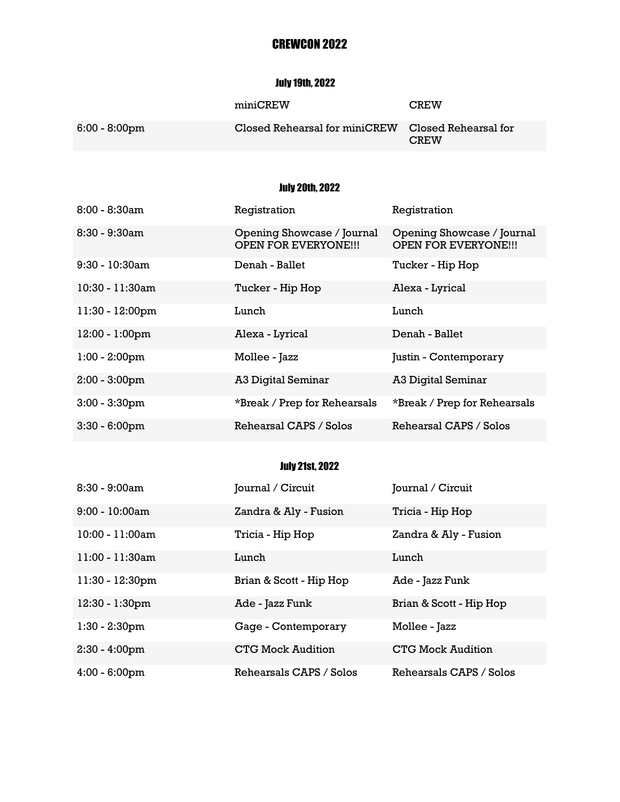# CREWCON 2022

### July 19th, 2022

|                  | miniCREW                                           | <b>CREW</b> |
|------------------|----------------------------------------------------|-------------|
| $6:00 - 8:00$ pm | Closed Rehearsal for miniCREW Closed Rehearsal for | <b>CREW</b> |

# July 20th, 2022

| $8:00 - 8:30am$   | Registration                                              | Registration                                              |
|-------------------|-----------------------------------------------------------|-----------------------------------------------------------|
| $8:30 - 9:30am$   | Opening Showcase / Journal<br><b>OPEN FOR EVERYONE!!!</b> | Opening Showcase / Journal<br><b>OPEN FOR EVERYONE!!!</b> |
| $9:30 - 10:30$ am | Denah - Ballet                                            | Tucker - Hip Hop                                          |
| 10:30 - 11:30am   | Tucker - Hip Hop                                          | Alexa - Lyrical                                           |
| 11:30 - 12:00pm   | Lunch                                                     | Lunch                                                     |
| $12:00 - 1:00$ pm | Alexa - Lyrical                                           | Denah - Ballet                                            |
| $1:00 - 2:00$ pm  | Mollee - Jazz                                             | Justin - Contemporary                                     |
| $2:00 - 3:00$ pm  | A3 Digital Seminar                                        | A3 Digital Seminar                                        |
| $3:00 - 3:30$ pm  | *Break / Prep for Rehearsals                              | *Break / Prep for Rehearsals                              |
| $3:30 - 6:00$ pm  | Rehearsal CAPS / Solos                                    | Rehearsal CAPS / Solos                                    |

### July 21st, 2022

| $8:30 - 9:00am$    | Journal / Circuit        | Journal / Circuit        |
|--------------------|--------------------------|--------------------------|
| $9:00 - 10:00$ am  | Zandra & Aly - Fusion    | Tricia - Hip Hop         |
| 10:00 - 11:00am    | Tricia - Hip Hop         | Zandra & Aly - Fusion    |
| $11:00 - 11:30$ am | Lunch                    | Lunch                    |
| 11:30 - 12:30pm    | Brian & Scott - Hip Hop  | Ade - Jazz Funk          |
| 12:30 - 1:30pm     | Ade - Jazz Funk          | Brian & Scott - Hip Hop  |
| $1:30 - 2:30$ pm   | Gage - Contemporary      | Mollee - Jazz            |
| $2:30 - 4:00$ pm   | <b>CTG Mock Audition</b> | <b>CTG Mock Audition</b> |
| $4:00 - 6:00$ pm   | Rehearsals CAPS / Solos  | Rehearsals CAPS / Solos  |